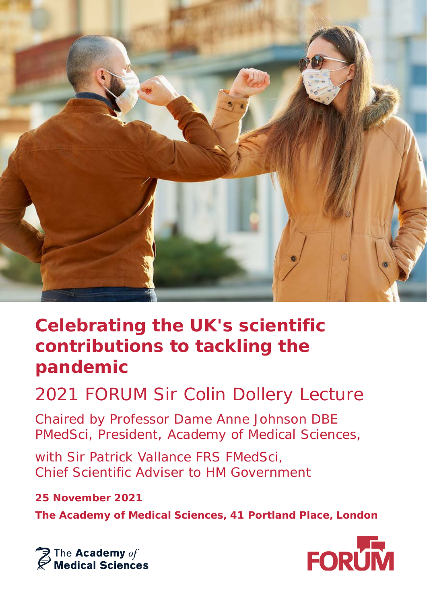

## **Celebrating the UK's scientific contributions to tackling the pandemic**

## 2021 FORUM Sir Colin Dollery Lecture

Chaired by Professor Dame Anne Johnson DBE PMedSci, President, Academy of Medical Sciences,

with Sir Patrick Vallance FRS FMedSci. Chief Scientific Adviser to HM Government

### **25 November 2021**

**The Academy of Medical Sciences, 41 Portland Place, London**



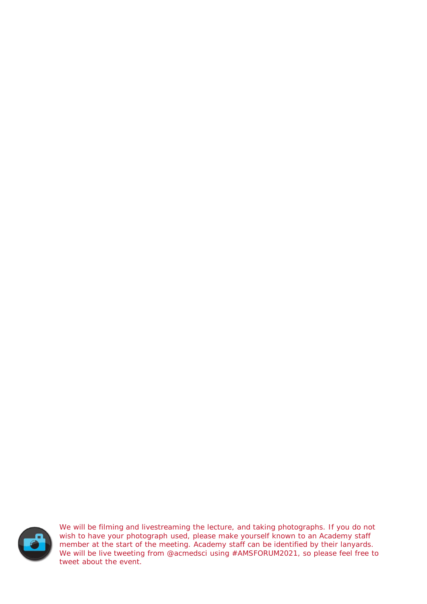

We will be filming and livestreaming the lecture, and taking photographs. If you do not wish to have your photograph used, please make yourself known to an Academy staff member at the start of the meeting. Academy staff can be identified by their lanyards. We will be live tweeting from @acmedsci using #AMSFORUM2021, so please feel free to tweet about the event.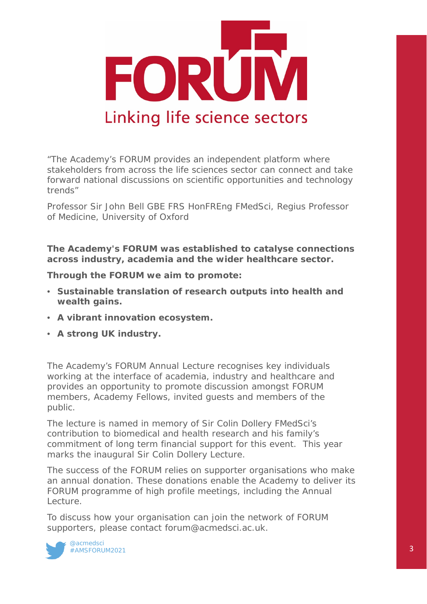

*"The Academy's FORUM provides an independent platform where stakeholders from across the life sciences sector can connect and take forward national discussions on scientific opportunities and technology trends"*

Professor Sir John Bell GBE FRS HonFREng FMedSci, Regius Professor of Medicine, University of Oxford

**The Academy's FORUM was established to catalyse connections across industry, academia and the wider healthcare sector.**

**Through the FORUM we aim to promote:**

- **Sustainable translation of research outputs into health and wealth gains.**
- **A vibrant innovation ecosystem.**
- **A strong UK industry.**

The Academy's FORUM Annual Lecture recognises key individuals working at the interface of academia, industry and healthcare and provides an opportunity to promote discussion amongst FORUM members, Academy Fellows, invited guests and members of the public.

The lecture is named in memory of Sir Colin Dollery FMedSci's contribution to biomedical and health research and his family's commitment of long term financial support for this event. This year marks the inaugural Sir Colin Dollery Lecture.

The success of the FORUM relies on supporter organisations who make an annual donation. These donations enable the Academy to deliver its FORUM programme of high profile meetings, including the Annual Lecture.

To discuss how your organisation can join the network of FORUM supporters, please contact forum@acmedsci.ac.uk.

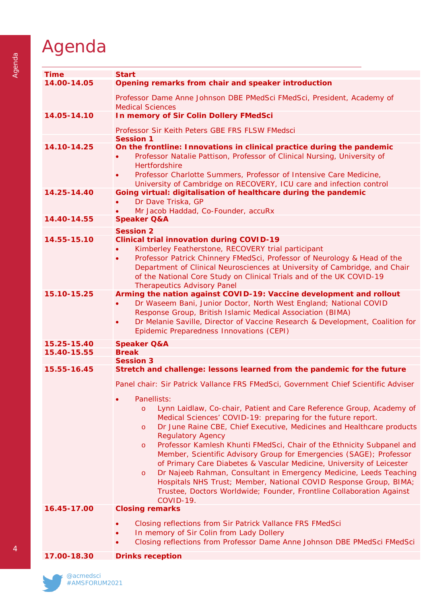## Agenda

| <b>Time</b> | <b>Start</b>                                                                                                                                                                                                                                                                                                                                                                                                                                                   |
|-------------|----------------------------------------------------------------------------------------------------------------------------------------------------------------------------------------------------------------------------------------------------------------------------------------------------------------------------------------------------------------------------------------------------------------------------------------------------------------|
| 14.00-14.05 | Opening remarks from chair and speaker introduction                                                                                                                                                                                                                                                                                                                                                                                                            |
|             | Professor Dame Anne Johnson DBE PMedSci FMedSci, President, Academy of<br><b>Medical Sciences</b>                                                                                                                                                                                                                                                                                                                                                              |
| 14.05-14.10 | In memory of Sir Colin Dollery FMedSci                                                                                                                                                                                                                                                                                                                                                                                                                         |
|             | Professor Sir Keith Peters GBE FRS FLSW FMedsci                                                                                                                                                                                                                                                                                                                                                                                                                |
|             | <b>Session 1</b>                                                                                                                                                                                                                                                                                                                                                                                                                                               |
| 14.10-14.25 | On the frontline: Innovations in clinical practice during the pandemic<br>Professor Natalie Pattison, Professor of Clinical Nursing, University of<br><b>Hertfordshire</b><br>Professor Charlotte Summers, Professor of Intensive Care Medicine,<br>$\bullet$<br>University of Cambridge on RECOVERY, ICU care and infection control                                                                                                                           |
| 14.25-14.40 | Going virtual: digitalisation of healthcare during the pandemic                                                                                                                                                                                                                                                                                                                                                                                                |
|             | Dr Dave Triska, GP                                                                                                                                                                                                                                                                                                                                                                                                                                             |
|             | Mr Jacob Haddad, Co-Founder, accuRx                                                                                                                                                                                                                                                                                                                                                                                                                            |
| 14.40-14.55 | <b>Speaker Q&amp;A</b>                                                                                                                                                                                                                                                                                                                                                                                                                                         |
|             | <b>Session 2</b>                                                                                                                                                                                                                                                                                                                                                                                                                                               |
| 14.55-15.10 | <b>Clinical trial innovation during COVID-19</b>                                                                                                                                                                                                                                                                                                                                                                                                               |
|             | Kimberley Featherstone, RECOVERY trial participant<br>Professor Patrick Chinnery FMedSci, Professor of Neurology & Head of the<br>$\bullet$<br>Department of Clinical Neurosciences at University of Cambridge, and Chair<br>of the National Core Study on Clinical Trials and of the UK COVID-19<br><b>Therapeutics Advisory Panel</b>                                                                                                                        |
| 15.10-15.25 | Arming the nation against COVID-19: Vaccine development and rollout<br>Dr Waseem Bani, Junior Doctor, North West England; National COVID<br>Response Group, British Islamic Medical Association (BIMA)<br>Dr Melanie Saville, Director of Vaccine Research & Development, Coalition for<br>$\bullet$<br>Epidemic Preparedness Innovations (CEPI)                                                                                                               |
| 15.25-15.40 | <b>Speaker Q&amp;A</b>                                                                                                                                                                                                                                                                                                                                                                                                                                         |
| 15.40-15.55 | <b>Break</b>                                                                                                                                                                                                                                                                                                                                                                                                                                                   |
|             | <b>Session 3</b>                                                                                                                                                                                                                                                                                                                                                                                                                                               |
| 15.55-16.45 | Stretch and challenge: lessons learned from the pandemic for the future                                                                                                                                                                                                                                                                                                                                                                                        |
|             | Panel chair: Sir Patrick Vallance FRS FMedSci, Government Chief Scientific Adviser                                                                                                                                                                                                                                                                                                                                                                             |
|             | Panellists:<br>Lynn Laidlaw, Co-chair, Patient and Care Reference Group, Academy of<br>$\circ$<br>Medical Sciences' COVID-19: preparing for the future report.<br>Dr June Raine CBE, Chief Executive, Medicines and Healthcare products<br>$\circ$<br><b>Regulatory Agency</b>                                                                                                                                                                                 |
|             | Professor Kamlesh Khunti FMedSci, Chair of the Ethnicity Subpanel and<br>$\circ$<br>Member, Scientific Advisory Group for Emergencies (SAGE); Professor<br>of Primary Care Diabetes & Vascular Medicine, University of Leicester<br>Dr Najeeb Rahman, Consultant in Emergency Medicine, Leeds Teaching<br>$\circ$<br>Hospitals NHS Trust; Member, National COVID Response Group, BIMA;<br>Trustee, Doctors Worldwide; Founder, Frontline Collaboration Against |
|             | COVID-19.                                                                                                                                                                                                                                                                                                                                                                                                                                                      |
| 16.45-17.00 | <b>Closing remarks</b>                                                                                                                                                                                                                                                                                                                                                                                                                                         |
|             | Closing reflections from Sir Patrick Vallance FRS FMedSci                                                                                                                                                                                                                                                                                                                                                                                                      |
|             | In memory of Sir Colin from Lady Dollery                                                                                                                                                                                                                                                                                                                                                                                                                       |
|             | Closing reflections from Professor Dame Anne Johnson DBE PMedSci FMedSci                                                                                                                                                                                                                                                                                                                                                                                       |
| 17.00-18.30 | <b>Drinks reception</b>                                                                                                                                                                                                                                                                                                                                                                                                                                        |
|             |                                                                                                                                                                                                                                                                                                                                                                                                                                                                |



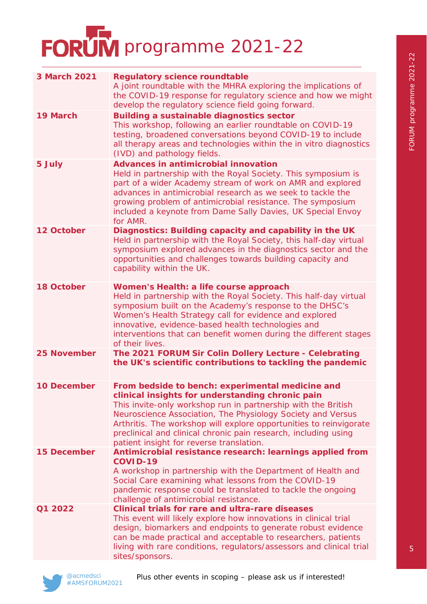# FORUM programme 2021-22

| <b>3 March 2021</b> | <b>Regulatory science roundtable</b><br>A joint roundtable with the MHRA exploring the implications of<br>the COVID-19 response for regulatory science and how we might<br>develop the regulatory science field going forward.                                                                                                                                                                                            |
|---------------------|---------------------------------------------------------------------------------------------------------------------------------------------------------------------------------------------------------------------------------------------------------------------------------------------------------------------------------------------------------------------------------------------------------------------------|
| 19 March            | <b>Building a sustainable diagnostics sector</b><br>This workshop, following an earlier roundtable on COVID-19<br>testing, broadened conversations beyond COVID-19 to include<br>all therapy areas and technologies within the in vitro diagnostics<br>(IVD) and pathology fields.                                                                                                                                        |
| 5 July              | <b>Advances in antimicrobial innovation</b><br>Held in partnership with the Royal Society. This symposium is<br>part of a wider Academy stream of work on AMR and explored<br>advances in antimicrobial research as we seek to tackle the<br>growing problem of antimicrobial resistance. The symposium<br>included a keynote from Dame Sally Davies, UK Special Envoy<br>for AMR.                                        |
| 12 October          | Diagnostics: Building capacity and capability in the UK<br>Held in partnership with the Royal Society, this half-day virtual<br>symposium explored advances in the diagnostics sector and the<br>opportunities and challenges towards building capacity and<br>capability within the UK.                                                                                                                                  |
| <b>18 October</b>   | Women's Health: a life course approach<br>Held in partnership with the Royal Society. This half-day virtual<br>symposium built on the Academy's response to the DHSC's<br>Women's Health Strategy call for evidence and explored<br>innovative, evidence-based health technologies and<br>interventions that can benefit women during the different stages<br>of their lives.                                             |
| <b>25 November</b>  | The 2021 FORUM Sir Colin Dollery Lecture - Celebrating<br>the UK's scientific contributions to tackling the pandemic                                                                                                                                                                                                                                                                                                      |
| <b>10 December</b>  | From bedside to bench: experimental medicine and<br>clinical insights for understanding chronic pain<br>This invite-only workshop run in partnership with the British<br>Neuroscience Association, The Physiology Society and Versus<br>Arthritis. The workshop will explore opportunities to reinvigorate<br>preclinical and clinical chronic pain research, including using<br>patient insight for reverse translation. |
| <b>15 December</b>  | Antimicrobial resistance research: learnings applied from<br>COVID-19<br>A workshop in partnership with the Department of Health and<br>Social Care examining what lessons from the COVID-19<br>pandemic response could be translated to tackle the ongoing<br>challenge of antimicrobial resistance.                                                                                                                     |
| Q1 2022             | <b>Clinical trials for rare and ultra-rare diseases</b><br>This event will likely explore how innovations in clinical trial<br>design, biomarkers and endpoints to generate robust evidence<br>can be made practical and acceptable to researchers, patients<br>living with rare conditions, regulators/assessors and clinical trial<br>sites/sponsors.                                                                   |

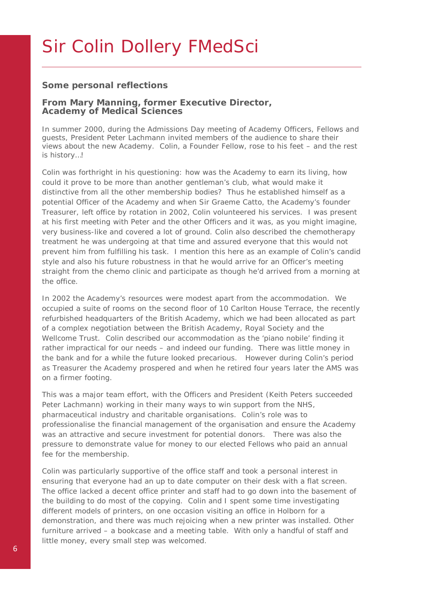## Sir Colin Dollery FMedSci

### **Some personal reflections**

#### **From Mary Manning, former Executive Director, Academy of Medical Sciences**

In summer 2000, during the Admissions Day meeting of Academy Officers, Fellows and guests, President Peter Lachmann invited members of the audience to share their views about the new Academy. Colin, a Founder Fellow, rose to his feet – and the rest is history…!

Colin was forthright in his questioning: how was the Academy to earn its living, how could it prove to be more than another gentleman's club, what would make it distinctive from all the other membership bodies? Thus he established himself as a potential Officer of the Academy and when Sir Graeme Catto, the Academy's founder Treasurer, left office by rotation in 2002, Colin volunteered his services. I was present at his first meeting with Peter and the other Officers and it was, as you might imagine, very business-like and covered a lot of ground. Colin also described the chemotherapy treatment he was undergoing at that time and assured everyone that this would not prevent him from fulfilling his task. I mention this here as an example of Colin's candid style and also his future robustness in that he would arrive for an Officer's meeting straight from the chemo clinic and participate as though he'd arrived from a morning at the office.

In 2002 the Academy's resources were modest apart from the accommodation. We occupied a suite of rooms on the second floor of 10 Carlton House Terrace, the recently refurbished headquarters of the British Academy, which we had been allocated as part of a complex negotiation between the British Academy, Royal Society and the Wellcome Trust. Colin described our accommodation as the 'piano nobile' finding it rather impractical for our needs – and indeed our funding. There was little money in the bank and for a while the future looked precarious. However during Colin's period as Treasurer the Academy prospered and when he retired four years later the AMS was on a firmer footing.

This was a major team effort, with the Officers and President (Keith Peters succeeded Peter Lachmann) working in their many ways to win support from the NHS, pharmaceutical industry and charitable organisations. Colin's role was to professionalise the financial management of the organisation and ensure the Academy was an attractive and secure investment for potential donors. There was also the pressure to demonstrate value for money to our elected Fellows who paid an annual fee for the membership.

 $6<sub>6</sub>$ Colin was particularly supportive of the office staff and took a personal interest in ensuring that everyone had an up to date computer on their desk with a flat screen. The office lacked a decent office printer and staff had to go down into the basement of the building to do most of the copying. Colin and I spent some time investigating different models of printers, on one occasion visiting an office in Holborn for a demonstration, and there was much rejoicing when a new printer was installed. Other furniture arrived – a bookcase and a meeting table. With only a handful of staff and little money, every small step was welcomed.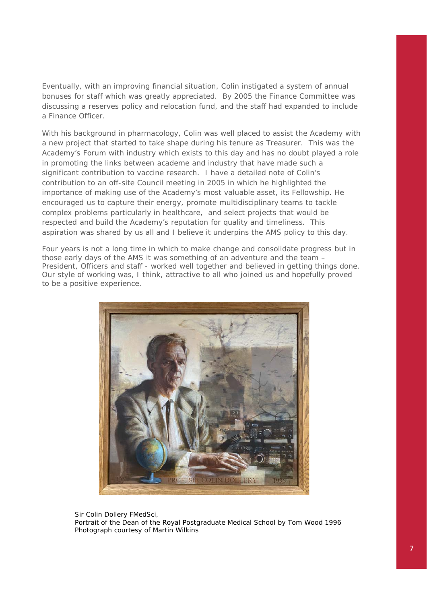Eventually, with an improving financial situation, Colin instigated a system of annual bonuses for staff which was greatly appreciated. By 2005 the Finance Committee was discussing a reserves policy and relocation fund, and the staff had expanded to include a Finance Officer.

With his background in pharmacology, Colin was well placed to assist the Academy with a new project that started to take shape during his tenure as Treasurer. This was the Academy's Forum with industry which exists to this day and has no doubt played a role in promoting the links between academe and industry that have made such a significant contribution to vaccine research. I have a detailed note of Colin's contribution to an off-site Council meeting in 2005 in which he highlighted the importance of making use of the Academy's most valuable asset, its Fellowship. He encouraged us to capture their energy, promote multidisciplinary teams to tackle complex problems particularly in healthcare, and select projects that would be respected and build the Academy's reputation for quality and timeliness. This aspiration was shared by us all and I believe it underpins the AMS policy to this day.

Four years is not a long time in which to make change and consolidate progress but in those early days of the AMS it was something of an adventure and the team – President, Officers and staff - worked well together and believed in getting things done. Our style of working was, I think, attractive to all who joined us and hopefully proved to be a positive experience.



Sir Colin Dollery FMedSci, *Portrait of the Dean of the Royal Postgraduate Medical School by Tom Wood 1996 Photograph courtesy of Martin Wilkins*